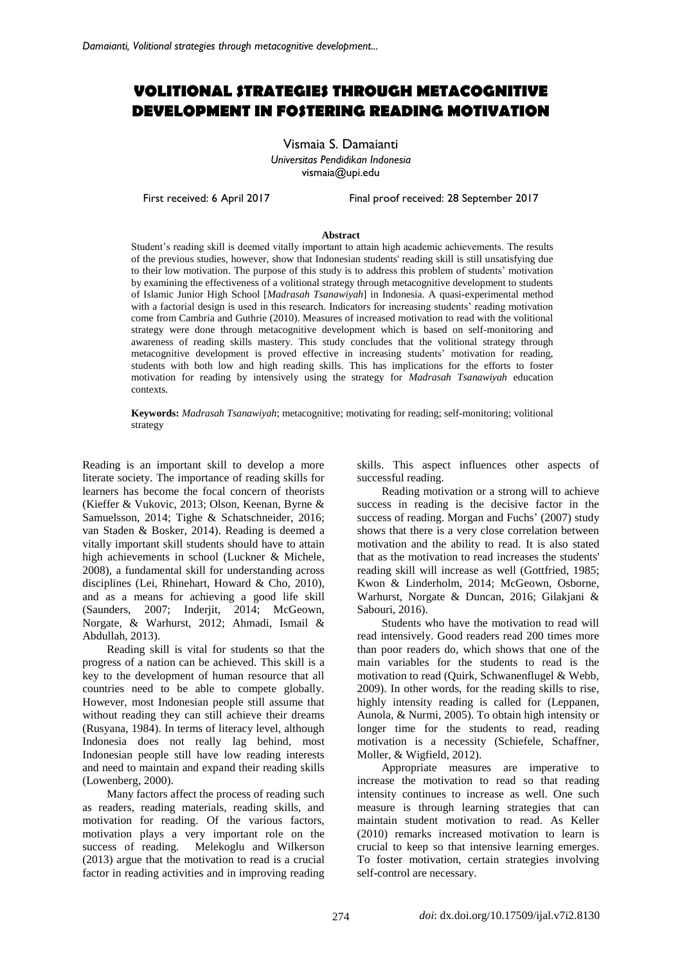# **VOLITIONAL STRATEGIES THROUGH METACOGNITIVE DEVELOPMENT IN FOSTERING READING MOTIVATION**

Vismaia S. Damaianti *Universitas Pendidikan Indonesia*  [vismaia@upi.edu](mailto:vismaia@upi.edu)

First received: 6 April 2017 Final proof received: 28 September 2017

#### **Abstract**

Student's reading skill is deemed vitally important to attain high academic achievements. The results of the previous studies, however, show that Indonesian students' reading skill is still unsatisfying due to their low motivation. The purpose of this study is to address this problem of students' motivation by examining the effectiveness of a volitional strategy through metacognitive development to students of Islamic Junior High School [*Madrasah Tsanawiyah*] in Indonesia. A quasi-experimental method with a factorial design is used in this research. Indicators for increasing students' reading motivation come from Cambria and Guthrie (2010). Measures of increased motivation to read with the volitional strategy were done through metacognitive development which is based on self-monitoring and awareness of reading skills mastery. This study concludes that the volitional strategy through metacognitive development is proved effective in increasing students' motivation for reading, students with both low and high reading skills. This has implications for the efforts to foster motivation for reading by intensively using the strategy for *Madrasah Tsanawiyah* education contexts.

**Keywords:** *Madrasah Tsanawiyah*; metacognitive; motivating for reading; self-monitoring; volitional strategy

Reading is an important skill to develop a more literate society. The importance of reading skills for learners has become the focal concern of theorists (Kieffer & Vukovic, 2013; Olson, Keenan, Byrne & Samuelsson, 2014; Tighe & Schatschneider, 2016; van Staden & Bosker, 2014). Reading is deemed a vitally important skill students should have to attain high achievements in school (Luckner & Michele, 2008), a fundamental skill for understanding across disciplines (Lei, Rhinehart, Howard & Cho, 2010), and as a means for achieving a good life skill (Saunders, 2007; Inderjit, 2014; McGeown, Norgate, & Warhurst, 2012; Ahmadi, Ismail & Abdullah, 2013).

Reading skill is vital for students so that the progress of a nation can be achieved. This skill is a key to the development of human resource that all countries need to be able to compete globally. However, most Indonesian people still assume that without reading they can still achieve their dreams (Rusyana, 1984). In terms of literacy level, although Indonesia does not really lag behind, most Indonesian people still have low reading interests and need to maintain and expand their reading skills (Lowenberg, 2000).

Many factors affect the process of reading such as readers, reading materials, reading skills, and motivation for reading. Of the various factors, motivation plays a very important role on the success of reading. Melekoglu and Wilkerson (2013) argue that the motivation to read is a crucial factor in reading activities and in improving reading skills. This aspect influences other aspects of successful reading.

Reading motivation or a strong will to achieve success in reading is the decisive factor in the success of reading. Morgan and Fuchs' (2007) study shows that there is a very close correlation between motivation and the ability to read. It is also stated that as the motivation to read increases the students' reading skill will increase as well (Gottfried, 1985; Kwon & Linderholm, 2014; McGeown, Osborne, Warhurst, Norgate & Duncan, 2016; Gilakjani & Sabouri, 2016).

Students who have the motivation to read will read intensively. Good readers read 200 times more than poor readers do, which shows that one of the main variables for the students to read is the motivation to read (Quirk, Schwanenflugel & Webb, 2009). In other words, for the reading skills to rise, highly intensity reading is called for (Leppanen, Aunola, & Nurmi, 2005). To obtain high intensity or longer time for the students to read, reading motivation is a necessity (Schiefele, Schaffner, Moller, & Wigfield, 2012).

Appropriate measures are imperative to increase the motivation to read so that reading intensity continues to increase as well. One such measure is through learning strategies that can maintain student motivation to read. As Keller (2010) remarks increased motivation to learn is crucial to keep so that intensive learning emerges. To foster motivation, certain strategies involving self-control are necessary.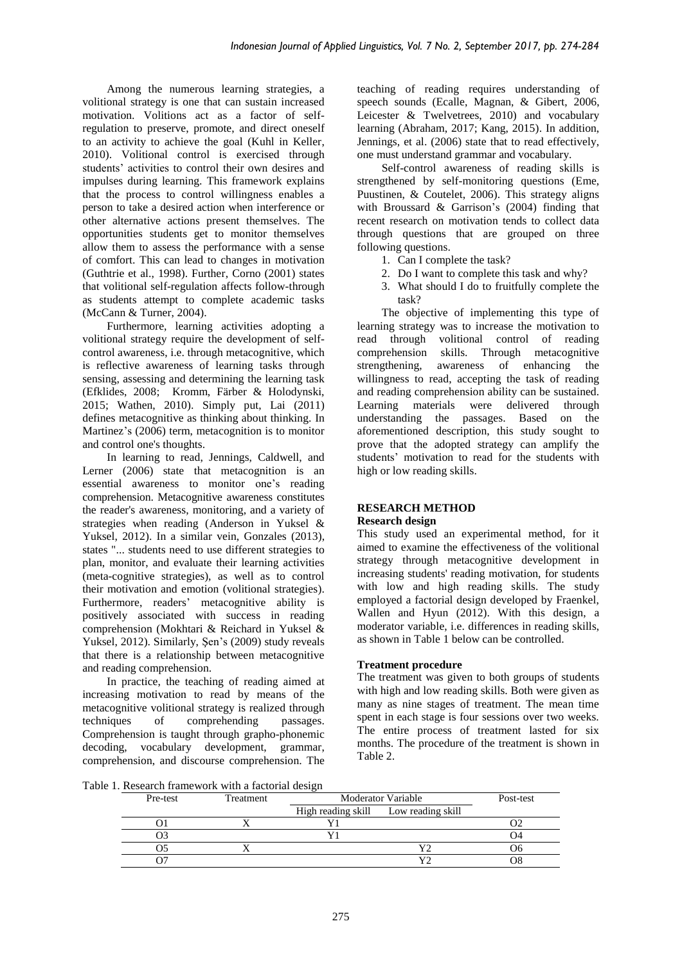Among the numerous learning strategies, a volitional strategy is one that can sustain increased motivation. Volitions act as a factor of selfregulation to preserve, promote, and direct oneself to an activity to achieve the goal (Kuhl in Keller, 2010). Volitional control is exercised through students' activities to control their own desires and impulses during learning. This framework explains that the process to control willingness enables a person to take a desired action when interference or other alternative actions present themselves. The opportunities students get to monitor themselves allow them to assess the performance with a sense of comfort. This can lead to changes in motivation (Guthtrie et al., 1998). Further, Corno (2001) states that volitional self-regulation affects follow-through as students attempt to complete academic tasks (McCann & Turner, 2004).

Furthermore, learning activities adopting a volitional strategy require the development of selfcontrol awareness, i.e. through metacognitive, which is reflective awareness of learning tasks through sensing, assessing and determining the learning task (Efklides, 2008; Kromm, Färber & Holodynski, 2015; Wathen, 2010). Simply put, Lai (2011) defines metacognitive as thinking about thinking. In Martinez's (2006) term, metacognition is to monitor and control one's thoughts.

In learning to read, Jennings, Caldwell, and Lerner (2006) state that metacognition is an essential awareness to monitor one's reading comprehension. Metacognitive awareness constitutes the reader's awareness, monitoring, and a variety of strategies when reading (Anderson in Yuksel & Yuksel, 2012). In a similar vein, Gonzales (2013), states "... students need to use different strategies to plan, monitor, and evaluate their learning activities (meta-cognitive strategies), as well as to control their motivation and emotion (volitional strategies). Furthermore, readers' metacognitive ability is positively associated with success in reading comprehension (Mokhtari & Reichard in Yuksel & Yuksel, 2012). Similarly, Şen's (2009) study reveals that there is a relationship between metacognitive and reading comprehension.

In practice, the teaching of reading aimed at increasing motivation to read by means of the metacognitive volitional strategy is realized through techniques of comprehending passages. Comprehension is taught through grapho-phonemic decoding, vocabulary development, grammar, comprehension, and discourse comprehension. The teaching of reading requires understanding of speech sounds (Ecalle, Magnan, & Gibert, 2006, Leicester & Twelvetrees, 2010) and vocabulary learning (Abraham, 2017; Kang, 2015). In addition, Jennings, et al. (2006) state that to read effectively, one must understand grammar and vocabulary.

Self-control awareness of reading skills is strengthened by self-monitoring questions (Eme, Puustinen, & Coutelet, 2006). This strategy aligns with Broussard & Garrison's (2004) finding that recent research on motivation tends to collect data through questions that are grouped on three following questions.

- 1. Can I complete the task?
- 2. Do I want to complete this task and why?
- 3. What should I do to fruitfully complete the task?

The objective of implementing this type of learning strategy was to increase the motivation to read through volitional control of reading comprehension skills. Through metacognitive strengthening, awareness of enhancing the willingness to read, accepting the task of reading and reading comprehension ability can be sustained. Learning materials were delivered through understanding the passages. Based on the aforementioned description, this study sought to prove that the adopted strategy can amplify the students' motivation to read for the students with high or low reading skills.

#### **RESEARCH METHOD Research design**

This study used an experimental method, for it aimed to examine the effectiveness of the volitional strategy through metacognitive development in increasing students' reading motivation, for students with low and high reading skills. The study employed a factorial design developed by Fraenkel, Wallen and Hyun (2012). With this design, a moderator variable, i.e. differences in reading skills,

as shown in Table 1 below can be controlled.

# **Treatment procedure**

The treatment was given to both groups of students with high and low reading skills. Both were given as many as nine stages of treatment. The mean time spent in each stage is four sessions over two weeks. The entire process of treatment lasted for six months. The procedure of the treatment is shown in Table 2.

Table 1. Research framework with a factorial design

| Pre-test | Treatment |                                      | Moderator Variable |  |
|----------|-----------|--------------------------------------|--------------------|--|
|          |           | High reading skill Low reading skill |                    |  |
|          |           |                                      |                    |  |
|          |           |                                      |                    |  |
|          |           |                                      |                    |  |
|          |           |                                      |                    |  |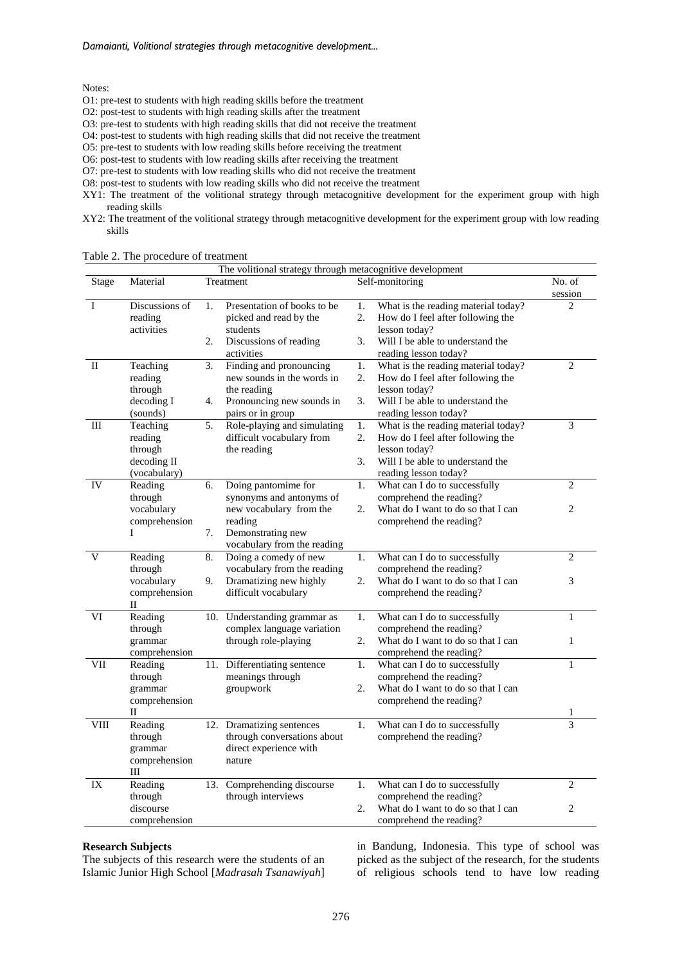*Damaianti, Volitional strategies through metacognitive development...*

Notes:

- O1: pre-test to students with high reading skills before the treatment
- O2: post-test to students with high reading skills after the treatment
- O3: pre-test to students with high reading skills that did not receive the treatment

O4: post-test to students with high reading skills that did not receive the treatment

- O5: pre-test to students with low reading skills before receiving the treatment
- O6: post-test to students with low reading skills after receiving the treatment
- O7: pre-test to students with low reading skills who did not receive the treatment

O8: post-test to students with low reading skills who did not receive the treatment

XY1: The treatment of the volitional strategy through metacognitive development for the experiment group with high reading skills

XY2: The treatment of the volitional strategy through metacognitive development for the experiment group with low reading skills

|              | The volitional strategy through metacognitive development |     |                                                       |                  |                                                                            |                   |
|--------------|-----------------------------------------------------------|-----|-------------------------------------------------------|------------------|----------------------------------------------------------------------------|-------------------|
| Stage        | Material                                                  |     | Treatment                                             |                  | Self-monitoring                                                            | No. of<br>session |
| I            | Discussions of<br>reading                                 | 1.  | Presentation of books to be<br>picked and read by the | 1.<br>2.         | What is the reading material today?<br>How do I feel after following the   | $\overline{2}$    |
|              | activities                                                | 2.  | students<br>Discussions of reading<br>activities      | 3.               | lesson today?<br>Will I be able to understand the<br>reading lesson today? |                   |
| $\mathbf{I}$ | Teaching                                                  | 3.  | Finding and pronouncing                               | 1.               | What is the reading material today?                                        | 2                 |
|              | reading                                                   |     | new sounds in the words in                            | 2.               | How do I feel after following the                                          |                   |
|              | through                                                   |     | the reading                                           |                  | lesson today?                                                              |                   |
|              | decoding I                                                | 4.  | Pronouncing new sounds in                             | 3.               | Will I be able to understand the                                           |                   |
|              | (sounds)                                                  |     | pairs or in group                                     |                  | reading lesson today?                                                      |                   |
| Ш            | Teaching                                                  | 5.  | Role-playing and simulating                           | $\overline{1}$ . | What is the reading material today?                                        | 3                 |
|              | reading                                                   |     | difficult vocabulary from                             | 2.               | How do I feel after following the                                          |                   |
|              | through                                                   |     | the reading                                           |                  | lesson today?                                                              |                   |
|              | decoding II                                               |     |                                                       | 3.               | Will I be able to understand the                                           |                   |
|              | (vocabulary)                                              |     |                                                       |                  | reading lesson today?                                                      |                   |
| IV           | Reading                                                   | 6.  | Doing pantomime for                                   | 1.               | What can I do to successfully                                              | $\overline{2}$    |
|              | through                                                   |     | synonyms and antonyms of                              |                  | comprehend the reading?                                                    |                   |
|              | vocabulary                                                |     | new vocabulary from the                               | 2.               | What do I want to do so that I can                                         | 2                 |
|              | comprehension                                             |     | reading                                               |                  | comprehend the reading?                                                    |                   |
|              | T                                                         | 7.  | Demonstrating new                                     |                  |                                                                            |                   |
|              |                                                           |     | vocabulary from the reading                           |                  |                                                                            |                   |
| V            | Reading                                                   | 8.  | Doing a comedy of new                                 | 1.               | What can I do to successfully                                              | $\overline{2}$    |
|              | through                                                   |     | vocabulary from the reading                           | 2.               | comprehend the reading?                                                    |                   |
|              | vocabulary<br>comprehension                               | 9.  | Dramatizing new highly<br>difficult vocabulary        |                  | What do I want to do so that I can                                         | 3                 |
|              | П                                                         |     |                                                       |                  | comprehend the reading?                                                    |                   |
| VI           | Reading                                                   | 10. | Understanding grammar as                              | 1.               | What can I do to successfully                                              | $\mathbf{1}$      |
|              | through                                                   |     | complex language variation                            |                  | comprehend the reading?                                                    |                   |
|              | grammar                                                   |     | through role-playing                                  | 2.               | What do I want to do so that I can                                         | $\mathbf{1}$      |
|              | comprehension                                             |     |                                                       |                  | comprehend the reading?                                                    |                   |
| VІI          | Reading                                                   | 11. | Differentiating sentence                              | 1.               | What can I do to successfully                                              | 1                 |
|              | through                                                   |     | meanings through                                      |                  | comprehend the reading?                                                    |                   |
|              | grammar                                                   |     | groupwork                                             | 2.               | What do I want to do so that I can                                         |                   |
|              | comprehension                                             |     |                                                       |                  | comprehend the reading?                                                    |                   |
|              | П                                                         |     |                                                       |                  |                                                                            | 1                 |
| VIII         | Reading                                                   | 12. | Dramatizing sentences                                 | 1.               | What can I do to successfully                                              | 3                 |
|              | through                                                   |     | through conversations about                           |                  | comprehend the reading?                                                    |                   |
|              | grammar                                                   |     | direct experience with                                |                  |                                                                            |                   |
|              | comprehension                                             |     | nature                                                |                  |                                                                            |                   |
|              | Ш                                                         |     |                                                       |                  |                                                                            |                   |
| IX           | Reading                                                   | 13. | Comprehending discourse                               | 1.               | What can I do to successfully                                              | 2                 |
|              | through                                                   |     | through interviews                                    |                  | comprehend the reading?                                                    |                   |
|              | discourse                                                 |     |                                                       | 2.               | What do I want to do so that I can                                         | 2                 |
|              | comprehension                                             |     |                                                       |                  | comprehend the reading?                                                    |                   |

#### Table 2. The procedure of treatment

#### **Research Subjects**

The subjects of this research were the students of an Islamic Junior High School [*Madrasah Tsanawiyah*]

in Bandung, Indonesia. This type of school was picked as the subject of the research, for the students of religious schools tend to have low reading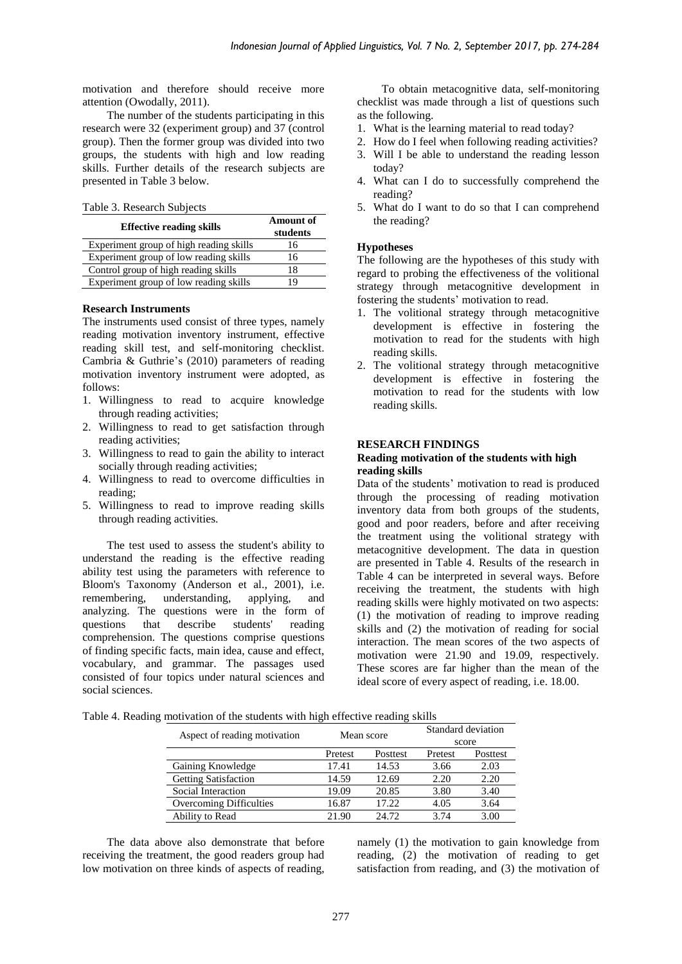motivation and therefore should receive more attention (Owodally, 2011).

The number of the students participating in this research were 32 (experiment group) and 37 (control group). Then the former group was divided into two groups, the students with high and low reading skills. Further details of the research subjects are presented in Table 3 below.

|  |  | Table 3. Research Subjects |  |  |
|--|--|----------------------------|--|--|
|--|--|----------------------------|--|--|

| <b>Effective reading skills</b>         | <b>Amount of</b><br>students |
|-----------------------------------------|------------------------------|
| Experiment group of high reading skills | 16                           |
| Experiment group of low reading skills  | 16                           |
| Control group of high reading skills    | 18                           |
| Experiment group of low reading skills  |                              |

#### **Research Instruments**

The instruments used consist of three types, namely reading motivation inventory instrument, effective reading skill test, and self-monitoring checklist. Cambria & Guthrie's (2010) parameters of reading motivation inventory instrument were adopted, as follows:

- 1. Willingness to read to acquire knowledge through reading activities;
- 2. Willingness to read to get satisfaction through reading activities;
- 3. Willingness to read to gain the ability to interact socially through reading activities;
- 4. Willingness to read to overcome difficulties in reading;
- 5. Willingness to read to improve reading skills through reading activities.

The test used to assess the student's ability to understand the reading is the effective reading ability test using the parameters with reference to Bloom's Taxonomy (Anderson et al., 2001), i.e. remembering, understanding, applying, and analyzing. The questions were in the form of questions that describe students' reading questions that describe students' reading comprehension. The questions comprise questions of finding specific facts, main idea, cause and effect, vocabulary, and grammar. The passages used consisted of four topics under natural sciences and social sciences.

To obtain metacognitive data, self-monitoring checklist was made through a list of questions such as the following.

- 1. What is the learning material to read today?
- 2. How do I feel when following reading activities?
- 3. Will I be able to understand the reading lesson today?
- 4. What can I do to successfully comprehend the reading?
- 5. What do I want to do so that I can comprehend the reading?

#### **Hypotheses**

The following are the hypotheses of this study with regard to probing the effectiveness of the volitional strategy through metacognitive development in fostering the students' motivation to read.

- 1. The volitional strategy through metacognitive development is effective in fostering the motivation to read for the students with high reading skills.
- 2. The volitional strategy through metacognitive development is effective in fostering the motivation to read for the students with low reading skills.

#### **RESEARCH FINDINGS**

#### **Reading motivation of the students with high reading skills**

Data of the students' motivation to read is produced through the processing of reading motivation inventory data from both groups of the students, good and poor readers, before and after receiving the treatment using the volitional strategy with metacognitive development. The data in question are presented in Table 4. Results of the research in Table 4 can be interpreted in several ways. Before receiving the treatment, the students with high reading skills were highly motivated on two aspects: (1) the motivation of reading to improve reading skills and (2) the motivation of reading for social interaction. The mean scores of the two aspects of motivation were 21.90 and 19.09, respectively. These scores are far higher than the mean of the ideal score of every aspect of reading, i.e. 18.00.

Table 4. Reading motivation of the students with high effective reading skills

| Aspect of reading motivation | Mean score |          | Standard deviation<br>score |          |
|------------------------------|------------|----------|-----------------------------|----------|
|                              | Pretest    | Posttest | Pretest                     | Posttest |
| Gaining Knowledge            | 17.41      | 14.53    | 3.66                        | 2.03     |
| <b>Getting Satisfaction</b>  | 14.59      | 12.69    | 2.20                        | 2.20     |
| Social Interaction           | 19.09      | 20.85    | 3.80                        | 3.40     |
| Overcoming Difficulties      | 16.87      | 17.22    | 4.05                        | 3.64     |
| Ability to Read              | 21.90      | 24.72    | 3.74                        | 3.00     |

The data above also demonstrate that before receiving the treatment, the good readers group had low motivation on three kinds of aspects of reading,

namely (1) the motivation to gain knowledge from reading, (2) the motivation of reading to get satisfaction from reading, and (3) the motivation of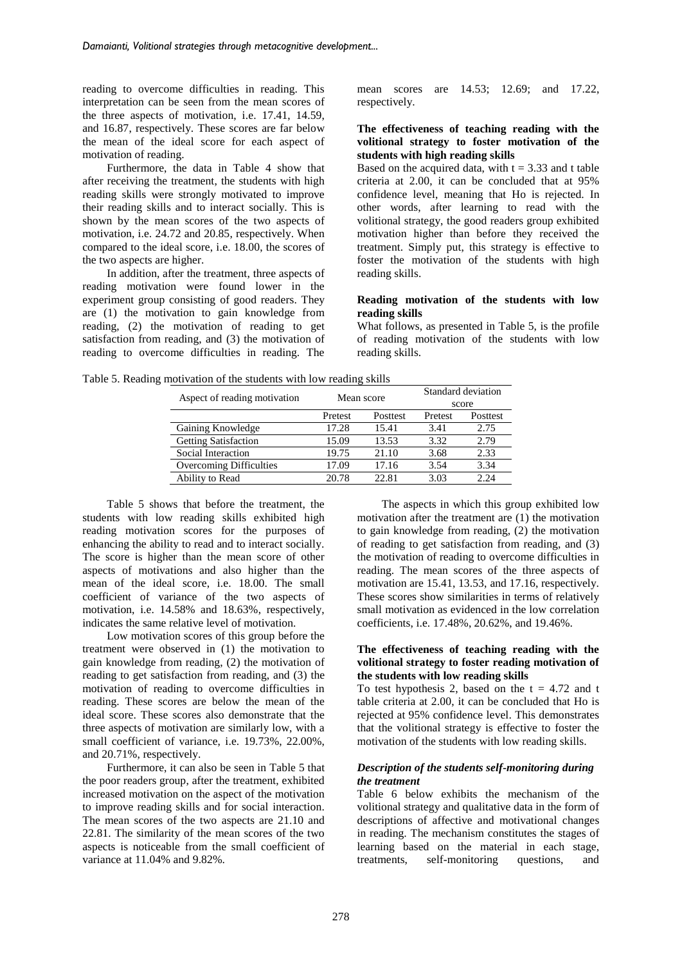reading to overcome difficulties in reading. This interpretation can be seen from the mean scores of the three aspects of motivation, i.e. 17.41, 14.59, and 16.87, respectively. These scores are far below the mean of the ideal score for each aspect of motivation of reading.

Furthermore, the data in Table 4 show that after receiving the treatment, the students with high reading skills were strongly motivated to improve their reading skills and to interact socially. This is shown by the mean scores of the two aspects of motivation, i.e. 24.72 and 20.85, respectively. When compared to the ideal score, i.e. 18.00, the scores of the two aspects are higher.

In addition, after the treatment, three aspects of reading motivation were found lower in the experiment group consisting of good readers. They are (1) the motivation to gain knowledge from reading, (2) the motivation of reading to get satisfaction from reading, and (3) the motivation of reading to overcome difficulties in reading. The mean scores are 14.53; 12.69; and 17.22, respectively.

### **The effectiveness of teaching reading with the volitional strategy to foster motivation of the students with high reading skills**

Based on the acquired data, with  $t = 3.33$  and t table criteria at 2.00, it can be concluded that at 95% confidence level, meaning that Ho is rejected. In other words, after learning to read with the volitional strategy, the good readers group exhibited motivation higher than before they received the treatment. Simply put, this strategy is effective to foster the motivation of the students with high reading skills.

#### **Reading motivation of the students with low reading skills**

What follows, as presented in Table 5, is the profile of reading motivation of the students with low reading skills.

Table 5. Reading motivation of the students with low reading skills

| Aspect of reading motivation | Mean score |          | Standard deviation<br>score |          |
|------------------------------|------------|----------|-----------------------------|----------|
|                              | Pretest    | Posttest | Pretest                     | Posttest |
| Gaining Knowledge            | 17.28      | 15.41    | 3.41                        | 2.75     |
| <b>Getting Satisfaction</b>  | 15.09      | 13.53    | 3.32                        | 2.79     |
| Social Interaction           | 19.75      | 21.10    | 3.68                        | 2.33     |
| Overcoming Difficulties      | 17.09      | 17.16    | 3.54                        | 3.34     |
| Ability to Read              | 20.78      | 22.81    | 3.03                        | 2.24     |

Table 5 shows that before the treatment, the students with low reading skills exhibited high reading motivation scores for the purposes of enhancing the ability to read and to interact socially. The score is higher than the mean score of other aspects of motivations and also higher than the mean of the ideal score, i.e. 18.00. The small coefficient of variance of the two aspects of motivation, i.e. 14.58% and 18.63%, respectively, indicates the same relative level of motivation.

Low motivation scores of this group before the treatment were observed in (1) the motivation to gain knowledge from reading, (2) the motivation of reading to get satisfaction from reading, and (3) the motivation of reading to overcome difficulties in reading. These scores are below the mean of the ideal score. These scores also demonstrate that the three aspects of motivation are similarly low, with a small coefficient of variance, i.e. 19.73%, 22.00%, and 20.71%, respectively.

Furthermore, it can also be seen in Table 5 that the poor readers group, after the treatment, exhibited increased motivation on the aspect of the motivation to improve reading skills and for social interaction. The mean scores of the two aspects are 21.10 and 22.81. The similarity of the mean scores of the two aspects is noticeable from the small coefficient of variance at 11.04% and 9.82%.

The aspects in which this group exhibited low motivation after the treatment are (1) the motivation to gain knowledge from reading, (2) the motivation of reading to get satisfaction from reading, and (3) the motivation of reading to overcome difficulties in reading. The mean scores of the three aspects of motivation are 15.41, 13.53, and 17.16, respectively. These scores show similarities in terms of relatively small motivation as evidenced in the low correlation coefficients, i.e. 17.48%, 20.62%, and 19.46%.

#### **The effectiveness of teaching reading with the volitional strategy to foster reading motivation of the students with low reading skills**

To test hypothesis 2, based on the  $t = 4.72$  and t table criteria at 2.00, it can be concluded that Ho is rejected at 95% confidence level. This demonstrates that the volitional strategy is effective to foster the motivation of the students with low reading skills.

## *Description of the students self-monitoring during the treatment*

Table 6 below exhibits the mechanism of the volitional strategy and qualitative data in the form of descriptions of affective and motivational changes in reading. The mechanism constitutes the stages of learning based on the material in each stage, treatments, self-monitoring questions, and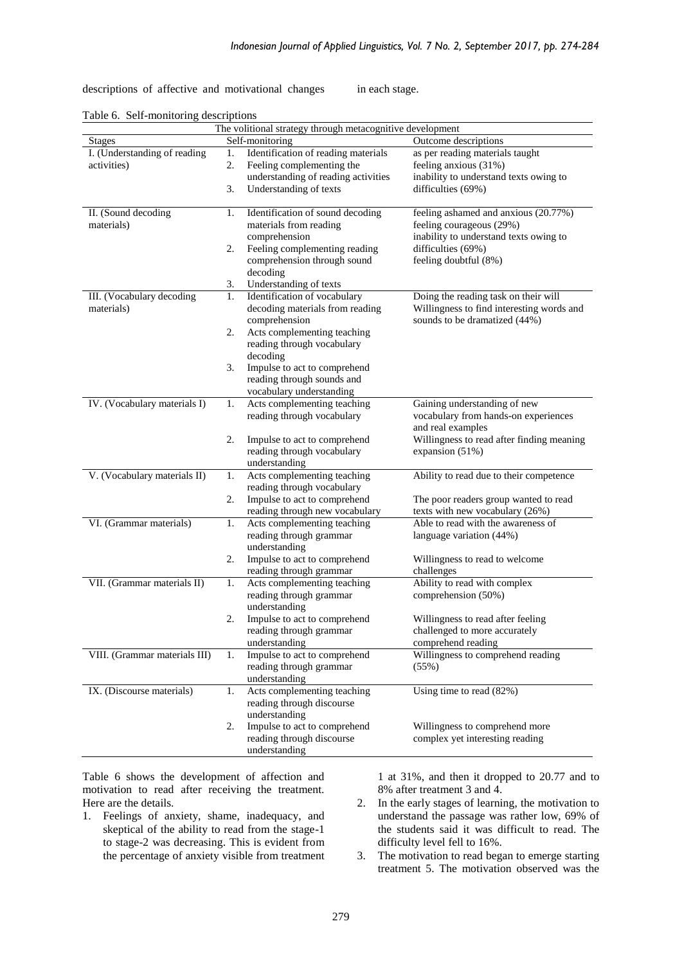descriptions of affective and motivational changes in each stage.

|                               | The volitional strategy through metacognitive development |                                              |                                           |  |
|-------------------------------|-----------------------------------------------------------|----------------------------------------------|-------------------------------------------|--|
| <b>Stages</b>                 |                                                           | Self-monitoring                              | Outcome descriptions                      |  |
| I. (Understanding of reading  | 1.                                                        | Identification of reading materials          | as per reading materials taught           |  |
| activities)                   | 2.                                                        | Feeling complementing the                    | feeling anxious (31%)                     |  |
|                               |                                                           | understanding of reading activities          | inability to understand texts owing to    |  |
|                               | 3.                                                        | Understanding of texts                       | difficulties (69%)                        |  |
| II. (Sound decoding           | 1.                                                        | Identification of sound decoding             | feeling ashamed and anxious (20.77%)      |  |
| materials)                    |                                                           | materials from reading                       | feeling courageous (29%)                  |  |
|                               |                                                           | comprehension                                | inability to understand texts owing to    |  |
|                               | 2.                                                        | Feeling complementing reading                | difficulties (69%)                        |  |
|                               |                                                           | comprehension through sound                  | feeling doubtful (8%)                     |  |
|                               |                                                           | decoding                                     |                                           |  |
|                               | 3.                                                        | Understanding of texts                       |                                           |  |
| III. (Vocabulary decoding     | 1.                                                        | Identification of vocabulary                 | Doing the reading task on their will      |  |
| materials)                    |                                                           | decoding materials from reading              | Willingness to find interesting words and |  |
|                               |                                                           | comprehension                                | sounds to be dramatized (44%)             |  |
|                               | 2.                                                        | Acts complementing teaching                  |                                           |  |
|                               |                                                           | reading through vocabulary                   |                                           |  |
|                               |                                                           | decoding                                     |                                           |  |
|                               | 3.                                                        | Impulse to act to comprehend                 |                                           |  |
|                               |                                                           | reading through sounds and                   |                                           |  |
|                               |                                                           | vocabulary understanding                     |                                           |  |
| IV. (Vocabulary materials I)  | 1.                                                        | Acts complementing teaching                  | Gaining understanding of new              |  |
|                               |                                                           | reading through vocabulary                   | vocabulary from hands-on experiences      |  |
|                               |                                                           |                                              | and real examples                         |  |
|                               | 2.                                                        | Impulse to act to comprehend                 | Willingness to read after finding meaning |  |
|                               |                                                           | reading through vocabulary                   | expansion $(51%)$                         |  |
| V. (Vocabulary materials II)  |                                                           | understanding<br>Acts complementing teaching | Ability to read due to their competence   |  |
|                               | 1.                                                        | reading through vocabulary                   |                                           |  |
|                               | 2.                                                        | Impulse to act to comprehend                 | The poor readers group wanted to read     |  |
|                               |                                                           | reading through new vocabulary               | texts with new vocabulary (26%)           |  |
| VI. (Grammar materials)       | 1.                                                        | Acts complementing teaching                  | Able to read with the awareness of        |  |
|                               |                                                           | reading through grammar                      | language variation (44%)                  |  |
|                               |                                                           | understanding                                |                                           |  |
|                               | 2.                                                        | Impulse to act to comprehend                 | Willingness to read to welcome            |  |
|                               |                                                           | reading through grammar                      | challenges                                |  |
| VII. (Grammar materials II)   | 1.                                                        | Acts complementing teaching                  | Ability to read with complex              |  |
|                               |                                                           | reading through grammar                      | comprehension (50%)                       |  |
|                               |                                                           | understanding                                |                                           |  |
|                               | 2.                                                        | Impulse to act to comprehend                 | Willingness to read after feeling         |  |
|                               |                                                           | reading through grammar                      | challenged to more accurately             |  |
|                               |                                                           | understanding                                | comprehend reading                        |  |
| VIII. (Grammar materials III) | 1.                                                        | Impulse to act to comprehend                 | Willingness to comprehend reading         |  |
|                               |                                                           | reading through grammar                      | (55%)                                     |  |
|                               |                                                           | understanding                                |                                           |  |
| IX. (Discourse materials)     | 1.                                                        | Acts complementing teaching                  | Using time to read (82%)                  |  |
|                               |                                                           | reading through discourse                    |                                           |  |
|                               |                                                           | understanding                                |                                           |  |
|                               | 2.                                                        | Impulse to act to comprehend                 | Willingness to comprehend more            |  |
|                               |                                                           | reading through discourse<br>understanding   | complex yet interesting reading           |  |
|                               |                                                           |                                              |                                           |  |

Table 6. Self-monitoring descriptions

Table 6 shows the development of affection and motivation to read after receiving the treatment. Here are the details.

1. Feelings of anxiety, shame, inadequacy, and skeptical of the ability to read from the stage-1 to stage-2 was decreasing. This is evident from the percentage of anxiety visible from treatment 1 at 31%, and then it dropped to 20.77 and to 8% after treatment 3 and 4.

- 2. In the early stages of learning, the motivation to understand the passage was rather low, 69% of the students said it was difficult to read. The difficulty level fell to 16%.
- 3. The motivation to read began to emerge starting treatment 5. The motivation observed was the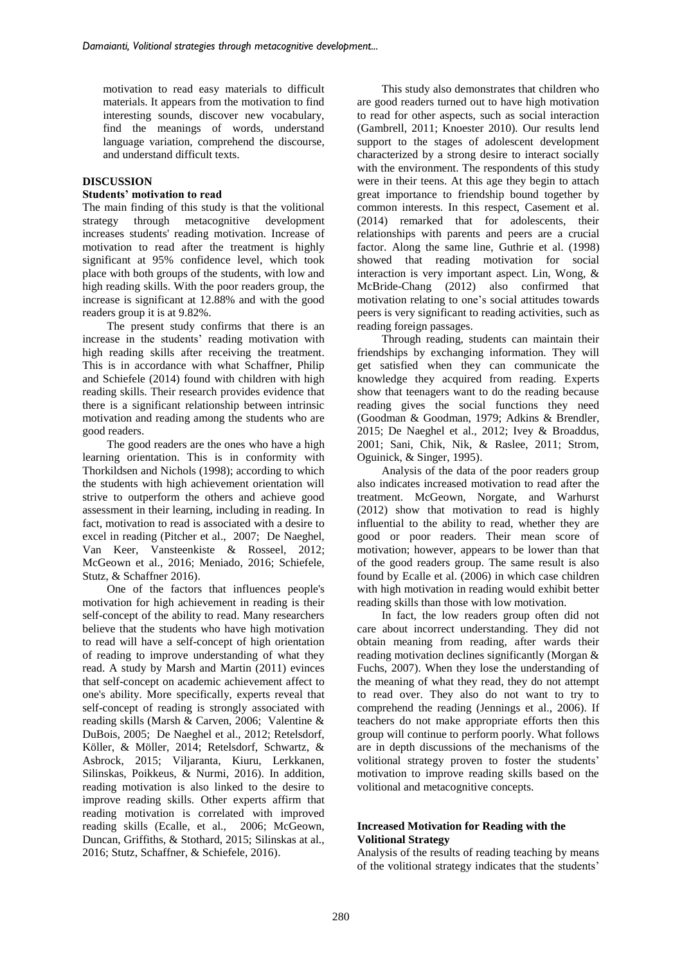motivation to read easy materials to difficult materials. It appears from the motivation to find interesting sounds, discover new vocabulary, find the meanings of words, understand language variation, comprehend the discourse, and understand difficult texts.

## **DISCUSSION**

# **Students' motivation to read**

The main finding of this study is that the volitional strategy through metacognitive development increases students' reading motivation. Increase of motivation to read after the treatment is highly significant at 95% confidence level, which took place with both groups of the students, with low and high reading skills. With the poor readers group, the increase is significant at 12.88% and with the good readers group it is at 9.82%.

The present study confirms that there is an increase in the students' reading motivation with high reading skills after receiving the treatment. This is in accordance with what Schaffner, Philip and Schiefele (2014) found with children with high reading skills. Their research provides evidence that there is a significant relationship between intrinsic motivation and reading among the students who are good readers.

The good readers are the ones who have a high learning orientation. This is in conformity with Thorkildsen and Nichols (1998); according to which the students with high achievement orientation will strive to outperform the others and achieve good assessment in their learning, including in reading. In fact, motivation to read is associated with a desire to excel in reading (Pitcher et al., 2007; De Naeghel, Van Keer, Vansteenkiste & Rosseel, 2012; McGeown et al., 2016; Meniado, 2016; Schiefele, Stutz, & Schaffner 2016).

One of the factors that influences people's motivation for high achievement in reading is their self-concept of the ability to read. Many researchers believe that the students who have high motivation to read will have a self-concept of high orientation of reading to improve understanding of what they read. A study by Marsh and Martin (2011) evinces that self-concept on academic achievement affect to one's ability. More specifically, experts reveal that self-concept of reading is strongly associated with reading skills (Marsh & Carven, 2006; Valentine & DuBois, 2005; De Naeghel et al., 2012; Retelsdorf, Köller, & Möller, 2014; Retelsdorf, Schwartz, & Asbrock, 2015; Viljaranta, Kiuru, Lerkkanen, Silinskas, Poikkeus, & Nurmi, 2016). In addition, reading motivation is also linked to the desire to improve reading skills. Other experts affirm that reading motivation is correlated with improved reading skills (Ecalle, et al., 2006; McGeown, Duncan, Griffiths, & Stothard, 2015; Silinskas at al., 2016; Stutz, Schaffner, & Schiefele, 2016).

This study also demonstrates that children who are good readers turned out to have high motivation to read for other aspects, such as social interaction (Gambrell, 2011; Knoester 2010). Our results lend support to the stages of adolescent development characterized by a strong desire to interact socially with the environment. The respondents of this study were in their teens. At this age they begin to attach great importance to friendship bound together by common interests. In this respect, Casement et al. (2014) remarked that for adolescents, their relationships with parents and peers are a crucial factor. Along the same line, Guthrie et al. (1998) showed that reading motivation for social interaction is very important aspect. Lin, Wong, & McBride-Chang (2012) also confirmed that motivation relating to one's social attitudes towards peers is very significant to reading activities, such as reading foreign passages.

Through reading, students can maintain their friendships by exchanging information. They will get satisfied when they can communicate the knowledge they acquired from reading. Experts show that teenagers want to do the reading because reading gives the social functions they need (Goodman & Goodman, 1979; Adkins & Brendler, 2015; De Naeghel et al., 2012; Ivey & Broaddus, 2001; Sani, Chik, Nik, & Raslee, 2011; Strom, Oguinick, & Singer, 1995).

Analysis of the data of the poor readers group also indicates increased motivation to read after the treatment. McGeown, Norgate, and Warhurst (2012) show that motivation to read is highly influential to the ability to read, whether they are good or poor readers. Their mean score of motivation; however, appears to be lower than that of the good readers group. The same result is also found by Ecalle et al. (2006) in which case children with high motivation in reading would exhibit better reading skills than those with low motivation.

In fact, the low readers group often did not care about incorrect understanding. They did not obtain meaning from reading, after wards their reading motivation declines significantly (Morgan & Fuchs, 2007). When they lose the understanding of the meaning of what they read, they do not attempt to read over. They also do not want to try to comprehend the reading (Jennings et al., 2006). If teachers do not make appropriate efforts then this group will continue to perform poorly. What follows are in depth discussions of the mechanisms of the volitional strategy proven to foster the students' motivation to improve reading skills based on the volitional and metacognitive concepts.

## **Increased Motivation for Reading with the Volitional Strategy**

Analysis of the results of reading teaching by means of the volitional strategy indicates that the students'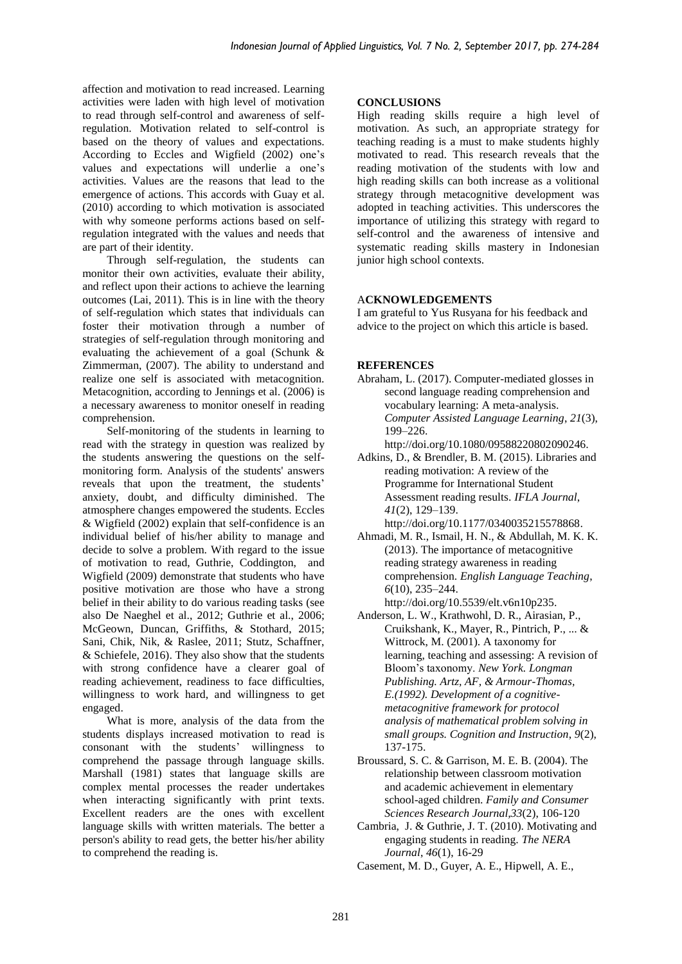affection and motivation to read increased. Learning activities were laden with high level of motivation to read through self-control and awareness of selfregulation. Motivation related to self-control is based on the theory of values and expectations. According to Eccles and Wigfield (2002) one's values and expectations will underlie a one's activities. Values are the reasons that lead to the emergence of actions. This accords with Guay et al. (2010) according to which motivation is associated with why someone performs actions based on selfregulation integrated with the values and needs that are part of their identity.

Through self-regulation, the students can monitor their own activities, evaluate their ability, and reflect upon their actions to achieve the learning outcomes (Lai, 2011). This is in line with the theory of self-regulation which states that individuals can foster their motivation through a number of strategies of self-regulation through monitoring and evaluating the achievement of a goal (Schunk & Zimmerman, (2007). The ability to understand and realize one self is associated with metacognition. Metacognition, according to Jennings et al. (2006) is a necessary awareness to monitor oneself in reading comprehension.

Self-monitoring of the students in learning to read with the strategy in question was realized by the students answering the questions on the selfmonitoring form. Analysis of the students' answers reveals that upon the treatment, the students' anxiety, doubt, and difficulty diminished. The atmosphere changes empowered the students. Eccles & Wigfield (2002) explain that self-confidence is an individual belief of his/her ability to manage and decide to solve a problem. With regard to the issue of motivation to read, Guthrie, Coddington, and Wigfield (2009) demonstrate that students who have positive motivation are those who have a strong belief in their ability to do various reading tasks (see also De Naeghel et al., 2012; Guthrie et al., 2006; McGeown, Duncan, Griffiths, & Stothard, 2015; Sani, Chik, Nik, & Raslee, 2011; Stutz, Schaffner, & Schiefele, 2016). They also show that the students with strong confidence have a clearer goal of reading achievement, readiness to face difficulties, willingness to work hard, and willingness to get engaged.

What is more, analysis of the data from the students displays increased motivation to read is consonant with the students' willingness to comprehend the passage through language skills. Marshall (1981) states that language skills are complex mental processes the reader undertakes when interacting significantly with print texts. Excellent readers are the ones with excellent language skills with written materials. The better a person's ability to read gets, the better his/her ability to comprehend the reading is.

## **CONCLUSIONS**

High reading skills require a high level of motivation. As such, an appropriate strategy for teaching reading is a must to make students highly motivated to read. This research reveals that the reading motivation of the students with low and high reading skills can both increase as a volitional strategy through metacognitive development was adopted in teaching activities. This underscores the importance of utilizing this strategy with regard to self-control and the awareness of intensive and systematic reading skills mastery in Indonesian junior high school contexts.

## A**CKNOWLEDGEMENTS**

I am grateful to Yus Rusyana for his feedback and advice to the project on which this article is based.

#### **REFERENCES**

- Abraham, L. (2017). Computer-mediated glosses in second language reading comprehension and vocabulary learning: A meta-analysis. *Computer Assisted Language Learning*, *21*(3), 199–226.
- http://doi.org/10.1080/09588220802090246. Adkins, D., & Brendler, B. M. (2015). Libraries and reading motivation: A review of the Programme for International Student

Assessment reading results. *IFLA Journal*, *41*(2), 129–139. http://doi.org/10.1177/0340035215578868.

- Ahmadi, M. R., Ismail, H. N., & Abdullah, M. K. K. (2013). The importance of metacognitive reading strategy awareness in reading comprehension. *English Language Teaching*, *6*(10), 235–244. http://doi.org/10.5539/elt.v6n10p235.
- Anderson, L. W., Krathwohl, D. R., Airasian, P., Cruikshank, K., Mayer, R., Pintrich, P., ... & Wittrock, M. (2001). A taxonomy for learning, teaching and assessing: A revision of Bloom's taxonomy. *New York. Longman Publishing. Artz, AF, & Armour-Thomas, E.(1992). Development of a cognitivemetacognitive framework for protocol analysis of mathematical problem solving in small groups. Cognition and Instruction*, *9*(2), 137-175.
- Broussard, S. C. & Garrison, M. E. B. (2004). The relationship between classroom motivation and academic achievement in elementary school-aged children. *Family and Consumer Sciences Research Journal,33*(2), 106-120
- Cambria, J. & Guthrie, J. T. (2010). Motivating and engaging students in reading. *The NERA Journal*, *46*(1), 16-29

Casement, M. D., Guyer, A. E., Hipwell, A. E.,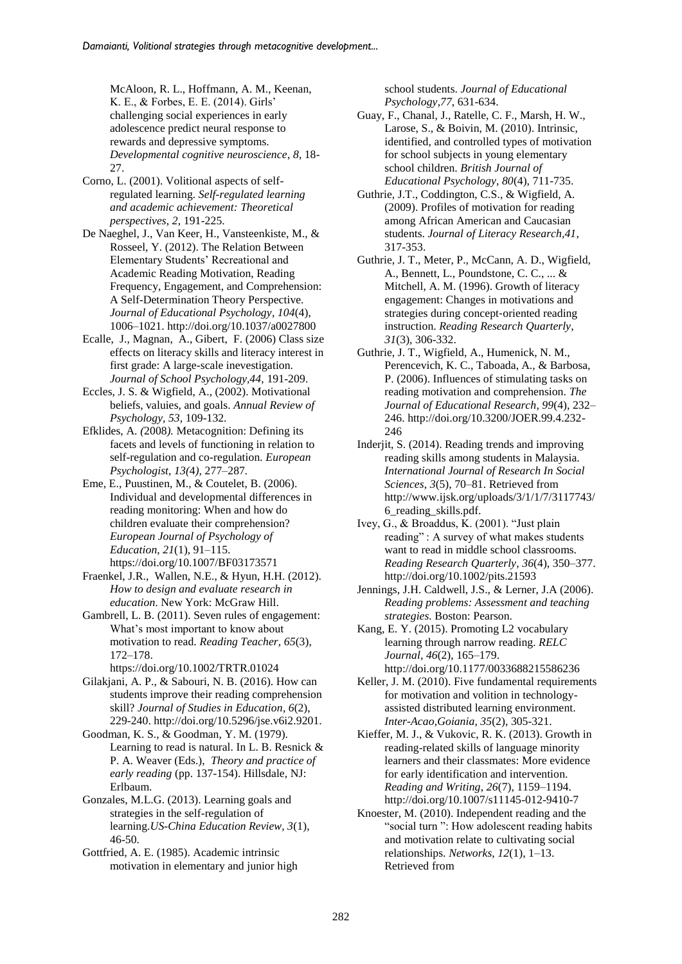McAloon, R. L., Hoffmann, A. M., Keenan, K. E., & Forbes, E. E. (2014). Girls' challenging social experiences in early adolescence predict neural response to rewards and depressive symptoms. *Developmental cognitive neuroscience*, *8*, 18- 27.

- Corno, L. (2001). Volitional aspects of selfregulated learning. *Self-regulated learning and academic achievement: Theoretical perspectives*, *2*, 191-225.
- De Naeghel, J., Van Keer, H., Vansteenkiste, M., & Rosseel, Y. (2012). The Relation Between Elementary Students' Recreational and Academic Reading Motivation, Reading Frequency, Engagement, and Comprehension: A Self-Determination Theory Perspective. *Journal of Educational Psychology*, *104*(4), 1006–1021. http://doi.org/10.1037/a0027800
- Ecalle, J., Magnan, A., Gibert, F. (2006) Class size effects on literacy skills and literacy interest in first grade: A large-scale inevestigation. *Journal of School Psychology,44,* 191-209.
- Eccles, J. S. & Wigfield, A., (2002). Motivational beliefs, valuies, and goals. *Annual Review of Psychology, 53,* 109-132.
- Efklides, A. *(*2008*).* Metacognition: Defining its facets and levels of functioning in relation to self-regulation and co-regulation*. European Psychologist*, *13(*4*),* 277*–*287*.*
- Eme, E., Puustinen, M., & Coutelet, B. (2006). Individual and developmental differences in reading monitoring: When and how do children evaluate their comprehension? *European Journal of Psychology of Education*, *21*(1), 91–115. <https://doi.org/10.1007/BF03173571>
- Fraenkel, J.R., Wallen, N.E., & Hyun, H.H. (2012). *How to design and evaluate research in education*. New York: McGraw Hill.
- Gambrell, L. B. (2011). Seven rules of engagement: What's most important to know about motivation to read. *Reading Teacher*, *65*(3), 172–178.
	- https://doi.org/10.1002/TRTR.01024
- Gilakjani, A. P., & Sabouri, N. B. (2016). How can students improve their reading comprehension skill? *Journal of Studies in Education*, *6*(2), 229-240. http://doi.org/10.5296/jse.v6i2.9201.
- Goodman, K. S., & Goodman, Y. M. (1979). Learning to read is natural. In L. B. Resnick & P. A. Weaver (Eds.), *Theory and practice of early reading* (pp. 137-154). Hillsdale, NJ: Erlbaum.
- Gonzales, M.L.G. (2013). Learning goals and strategies in the self-regulation of learning.*US-China Education Review, 3*(1), 46-50.
- Gottfried, A. E. (1985). Academic intrinsic motivation in elementary and junior high

school students. *Journal of Educational Psychology*,*77*, 631-634.

- Guay, F., Chanal, J., Ratelle, C. F., Marsh, H. W., Larose, S., & Boivin, M. (2010). Intrinsic, identified, and controlled types of motivation for school subjects in young elementary school children. *British Journal of Educational Psychology*, *80*(4), 711-735.
- Guthrie, J.T., Coddington, C.S., & Wigfield, A. (2009). Profiles of motivation for reading among African American and Caucasian students. *Journal of Literacy Research,41*, 317-353.
- Guthrie, J. T., Meter, P., McCann, A. D., Wigfield, A., Bennett, L., Poundstone, C. C., ... & Mitchell, A. M. (1996). Growth of literacy engagement: Changes in motivations and strategies during concept‐oriented reading instruction. *Reading Research Quarterly*, *31*(3), 306-332.
- Guthrie, J. T., Wigfield, A., Humenick, N. M., Perencevich, K. C., Taboada, A., & Barbosa, P. (2006). Influences of stimulating tasks on reading motivation and comprehension. *The Journal of Educational Research*, *99*(4), 232– 246. http://doi.org/10.3200/JOER.99.4.232- 246
- Inderjit, S. (2014). Reading trends and improving reading skills among students in Malaysia. *International Journal of Research In Social Sciences*, *3*(5), 70–81. Retrieved from http://www.ijsk.org/uploads/3/1/1/7/3117743/ 6\_reading\_skills.pdf.
- Ivey, G., & Broaddus, K. (2001). "Just plain reading" : A survey of what makes students want to read in middle school classrooms. *Reading Research Quarterly*, *36*(4), 350–377. http://doi.org/10.1002/pits.21593
- Jennings, J.H. Caldwell, J.S., & Lerner, J.A (2006). *Reading problems: Assessment and teaching strategies.* Boston: Pearson.
- Kang, E. Y. (2015). Promoting L2 vocabulary learning through narrow reading. *RELC Journal*, *46*(2), 165–179. http://doi.org/10.1177/0033688215586236
- Keller, J. M. (2010). Five fundamental requirements for motivation and volition in technologyassisted distributed learning environment. *Inter-Acao,Goiania*, *35*(2), 305-321.
- Kieffer, M. J., & Vukovic, R. K. (2013). Growth in reading-related skills of language minority learners and their classmates: More evidence for early identification and intervention. *Reading and Writing*, *26*(7), 1159–1194. http://doi.org/10.1007/s11145-012-9410-7
- Knoester, M. (2010). Independent reading and the "social turn ": How adolescent reading habits and motivation relate to cultivating social relationships. *Networks*, *12*(1), 1–13. Retrieved from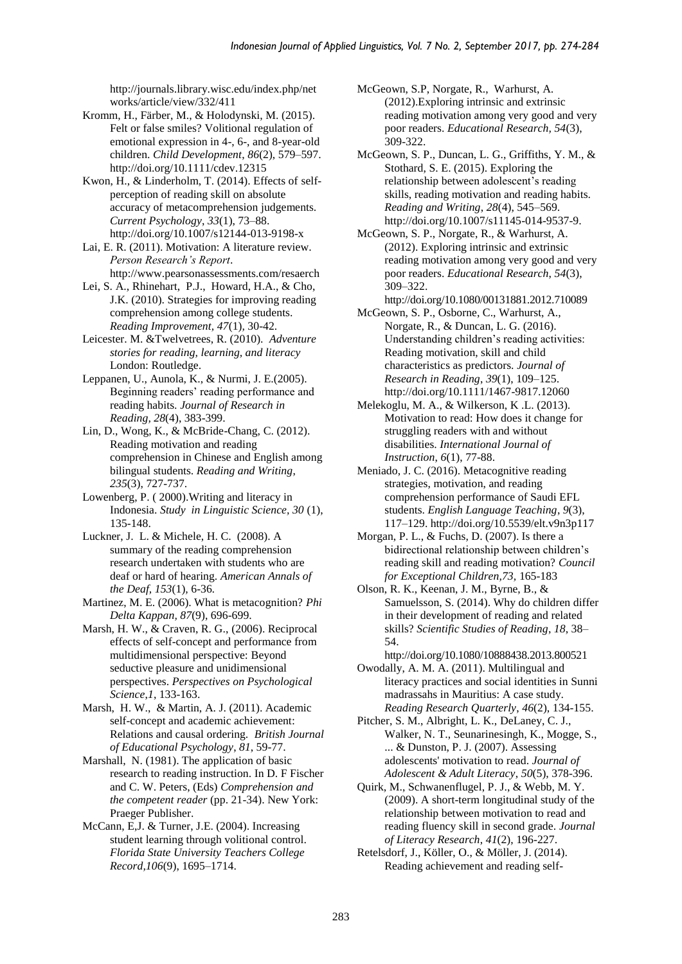http://journals.library.wisc.edu/index.php/net works/article/view/332/411

- Kromm, H., Färber, M., & Holodynski, M. (2015). Felt or false smiles? Volitional regulation of emotional expression in 4-, 6-, and 8-year-old children. *Child Development*, *86*(2), 579–597. http://doi.org/10.1111/cdev.12315
- Kwon, H., & Linderholm, T. (2014). Effects of selfperception of reading skill on absolute accuracy of metacomprehension judgements. *Current Psychology*, *33*(1), 73–88. http://doi.org/10.1007/s12144-013-9198-x
- Lai, E. R. (2011). Motivation: A literature review. *Person Research's Report*. <http://www.pearsonassessments.com/resaerch>
- Lei, S. A., Rhinehart, P.J., Howard, H.A., & Cho, J.K. (2010). Strategies for improving reading comprehension among college students. *Reading Improvement, 47*(1)*,* 30-42.
- Leicester. M. &Twelvetrees, R. (2010). *Adventure stories for reading, learning, and literacy* London: Routledge.
- Leppanen, U., Aunola, K., & Nurmi, J. E.(2005). Beginning readers' reading performance and reading habits. *Journal of Research in Reading, 28*(4), 383-399.
- Lin, D., Wong, K., & McBride-Chang, C. (2012). Reading motivation and reading comprehension in Chinese and English among bilingual students. *Reading and Writing*, *235*(3), 727-737.
- Lowenberg, P. ( 2000).Writing and literacy in Indonesia. *Study in Linguistic Science, 30* (1), 135-148.
- Luckner, J. L. & Michele, H. C. (2008). A summary of the reading comprehension research undertaken with students who are deaf or hard of hearing. *American Annals of the Deaf, 153*(1)*,* 6-36*.*
- Martinez, M. E. (2006). What is metacognition? *Phi Delta Kappan, 87*(9), 696-699.
- Marsh, H. W., & Craven, R. G., (2006). Reciprocal effects of self-concept and performance from multidimensional perspective: Beyond seductive pleasure and unidimensional perspectives. *Perspectives on Psychological Science*,*1*, 133-163.
- Marsh, H. W., & Martin, A. J. (2011). Academic self-concept and academic achievement: Relations and causal ordering. *British Journal of Educational Psychology*, *81*, 59-77.
- Marshall, N. (1981). The application of basic research to reading instruction. In D. F Fischer and C. W. Peters, (Eds) *Comprehension and the competent reader* (pp. 21-34). New York: Praeger Publisher.
- McCann, E,J. & Turner, J.E. (2004). Increasing student learning through volitional control. *Florida State University Teachers College Record,106*(9), 1695–1714.
- McGeown, S.P, Norgate, R., Warhurst, A. (2012).Exploring intrinsic and extrinsic reading motivation among very good and very poor readers. *Educational Research, 54*(3), 309-322.
- McGeown, S. P., Duncan, L. G., Griffiths, Y. M., & Stothard, S. E. (2015). Exploring the relationship between adolescent's reading skills, reading motivation and reading habits. *Reading and Writing*, *28*(4), 545–569. http://doi.org/10.1007/s11145-014-9537-9.
- McGeown, S. P., Norgate, R., & Warhurst, A. (2012). Exploring intrinsic and extrinsic reading motivation among very good and very poor readers. *Educational Research*, *54*(3), 309–322.
- http://doi.org/10.1080/00131881.2012.710089
- McGeown, S. P., Osborne, C., Warhurst, A., Norgate, R., & Duncan, L. G. (2016). Understanding children's reading activities: Reading motivation, skill and child characteristics as predictors. *Journal of Research in Reading*, *39*(1), 109–125. http://doi.org/10.1111/1467-9817.12060
- Melekoglu, M. A., & Wilkerson, K .L. (2013). Motivation to read: How does it change for struggling readers with and without disabilities. *International Journal of Instruction*, *6*(1), 77-88.
- Meniado, J. C. (2016). Metacognitive reading strategies, motivation, and reading comprehension performance of Saudi EFL students. *English Language Teaching*, *9*(3), 117–129. http://doi.org/10.5539/elt.v9n3p117
- Morgan, P. L., & Fuchs, D. (2007). Is there a bidirectional relationship between children's reading skill and reading motivation? *Council for Exceptional Children,73,* 165-183
- Olson, R. K., Keenan, J. M., Byrne, B., & Samuelsson, S. (2014). Why do children differ in their development of reading and related skills? *Scientific Studies of Reading*, *18*, 38– 54.
	- http://doi.org/10.1080/10888438.2013.800521
- Owodally, A. M. A. (2011). Multilingual and literacy practices and social identities in Sunni madrassahs in Mauritius: A case study. *Reading Research Quarterly*, *46*(2), 134-155.
- Pitcher, S. M., Albright, L. K., DeLaney, C. J., Walker, N. T., Seunarinesingh, K., Mogge, S., ... & Dunston, P. J. (2007). Assessing adolescents' motivation to read. *Journal of Adolescent & Adult Literacy*, *50*(5), 378-396.
- Quirk, M., Schwanenflugel, P. J., & Webb, M. Y. (2009). A short-term longitudinal study of the relationship between motivation to read and reading fluency skill in second grade. *Journal of Literacy Research*, *41*(2), 196-227.
- Retelsdorf, J., Köller, O., & Möller, J. (2014). Reading achievement and reading self-